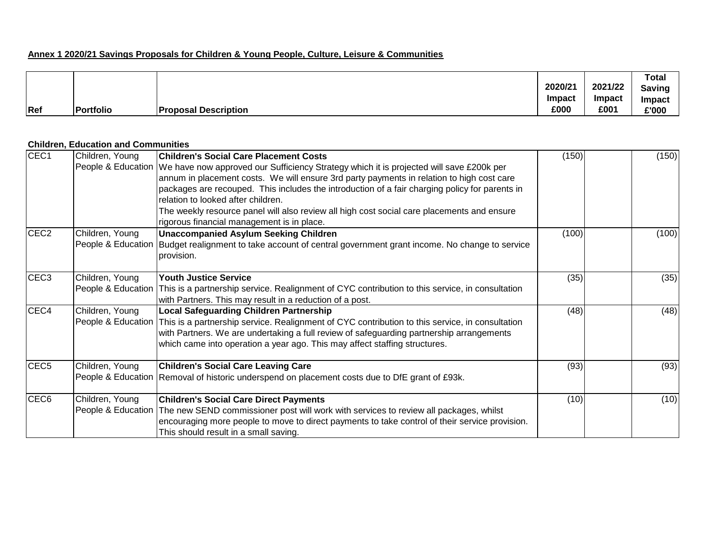## **Annex 1 2020/21 Savings Proposals for Children & Young People, Culture, Leisure & Communities**

|     |           |                             |               |               | Total  |
|-----|-----------|-----------------------------|---------------|---------------|--------|
|     |           |                             | 2020/21       | 2021/22       | Saving |
|     |           |                             | <b>Impact</b> | <b>Impact</b> | Impact |
| Ref | Portfolio | <b>Proposal Description</b> | £000          | £001          | £'000  |

## **Children, Education and Communities**

| CEC <sub>1</sub> | Children, Young | <b>Children's Social Care Placement Costs</b>                                                                                | (150) | (150) |
|------------------|-----------------|------------------------------------------------------------------------------------------------------------------------------|-------|-------|
|                  |                 | People & Education   We have now approved our Sufficiency Strategy which it is projected will save £200k per                 |       |       |
|                  |                 | annum in placement costs. We will ensure 3rd party payments in relation to high cost care                                    |       |       |
|                  |                 | packages are recouped. This includes the introduction of a fair charging policy for parents in                               |       |       |
|                  |                 | relation to looked after children.                                                                                           |       |       |
|                  |                 | The weekly resource panel will also review all high cost social care placements and ensure                                   |       |       |
|                  |                 | rigorous financial management is in place.                                                                                   |       |       |
| CEC <sub>2</sub> | Children, Young | <b>Unaccompanied Asylum Seeking Children</b>                                                                                 | (100) | (100) |
|                  |                 | People & Education Budget realignment to take account of central government grant income. No change to service<br>provision. |       |       |
| CEC <sub>3</sub> | Children, Young | <b>Youth Justice Service</b>                                                                                                 | (35)  | (35)  |
|                  |                 | People & Education This is a partnership service. Realignment of CYC contribution to this service, in consultation           |       |       |
|                  |                 | with Partners. This may result in a reduction of a post.                                                                     |       |       |
| CEC4             | Children, Young | <b>Local Safeguarding Children Partnership</b>                                                                               | (48)  | (48)  |
|                  |                 | People & Education This is a partnership service. Realignment of CYC contribution to this service, in consultation           |       |       |
|                  |                 | with Partners. We are undertaking a full review of safeguarding partnership arrangements                                     |       |       |
|                  |                 | which came into operation a year ago. This may affect staffing structures.                                                   |       |       |
| CEC <sub>5</sub> | Children, Young | <b>Children's Social Care Leaving Care</b>                                                                                   | (93)  | (93)  |
|                  |                 | People & Education   Removal of historic underspend on placement costs due to DfE grant of £93k.                             |       |       |
| CEC <sub>6</sub> | Children, Young | <b>Children's Social Care Direct Payments</b>                                                                                | (10)  | (10)  |
|                  |                 | People & Education The new SEND commissioner post will work with services to review all packages, whilst                     |       |       |
|                  |                 | encouraging more people to move to direct payments to take control of their service provision.                               |       |       |
|                  |                 | This should result in a small saving.                                                                                        |       |       |